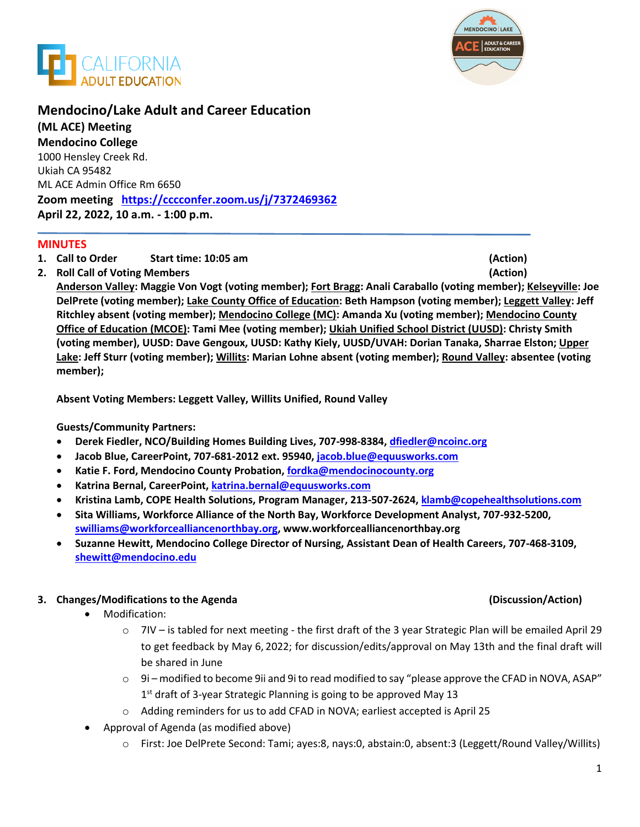



# **Mendocino/Lake Adult and Career Education**

**(ML ACE) Meeting Mendocino College**  1000 Hensley Creek Rd. Ukiah CA 95482 ML ACE Admin Office Rm 6650 **Zoom meeting <https://cccconfer.zoom.us/j/7372469362> April 22, 2022, 10 a.m. - 1:00 p.m.**

### **MINUTES**

- **1. Call to Order Start time: 10:05 am (Action)**
- **2. Roll Call of Voting Members (Action)**

**Anderson Valley: Maggie Von Vogt (voting member); Fort Bragg: Anali Caraballo (voting member); Kelseyville: Joe DelPrete (voting member); Lake County Office of Education: Beth Hampson (voting member); Leggett Valley: Jeff Ritchley absent (voting member); Mendocino College (MC): Amanda Xu (voting member); Mendocino County Office of Education (MCOE): Tami Mee (voting member); Ukiah Unified School District (UUSD): Christy Smith (voting member), UUSD: Dave Gengoux, UUSD: Kathy Kiely, UUSD/UVAH: Dorian Tanaka, Sharrae Elston; Upper Lake: Jeff Sturr (voting member); Willits: Marian Lohne absent (voting member); Round Valley: absentee (voting member);** 

**Absent Voting Members: Leggett Valley, Willits Unified, Round Valley**

### **Guests/Community Partners:**

- **Derek Fiedler, NCO/Building Homes Building Lives, 707-998-8384, [dfiedler@ncoinc.org](mailto:dfiedler@ncoinc.org)**
- **Jacob Blue, CareerPoint, 707-681-2012 ext. 95940, [jacob.blue@equusworks.com](mailto:jacob.blue@equusworks.com)**
- **Katie F. Ford, Mendocino County Probation, [fordka@mendocinocounty.org](mailto:fordka@mendocinocounty.org)**
- **Katrina Bernal, CareerPoint, [katrina.bernal@equusworks.com](mailto:katrina.bernal@equusworks.com)**
- **Kristina Lamb, COPE Health Solutions, Program Manager, 213-507-2624, [klamb@copehealthsolutions.com](mailto:klamb@copehealthsolutions.com)**
- **Sita Williams, Workforce Alliance of the North Bay, Workforce Development Analyst, 707-932-5200, [swilliams@workforcealliancenorthbay.org,](mailto:swilliams@workforcealliancenorthbay.org) [www.workforcealliancenorthbay.org](http://www.workforcealliancenorthbay.org/)**
- **Suzanne Hewitt, Mendocino College Director of Nursing, Assistant Dean of Health Careers, 707-468-3109, [shewitt@mendocino.edu](mailto:shewitt@mendocino.edu)**

## **3. Changes/Modifications to the Agenda (Discussion/Action)**

- Modification:
	- o 7IV is tabled for next meeting the first draft of the 3 year Strategic Plan will be emailed April 29 to get feedback by May 6, 2022; for discussion/edits/approval on May 13th and the final draft will be shared in June
	- $\circ$  9i modified to become 9ii and 9i to read modified to say "please approve the CFAD in NOVA, ASAP" 1<sup>st</sup> draft of 3-year Strategic Planning is going to be approved May 13
	- o Adding reminders for us to add CFAD in NOVA; earliest accepted is April 25
- Approval of Agenda (as modified above)
	- o First: Joe DelPrete Second: Tami; ayes:8, nays:0, abstain:0, absent:3 (Leggett/Round Valley/Willits)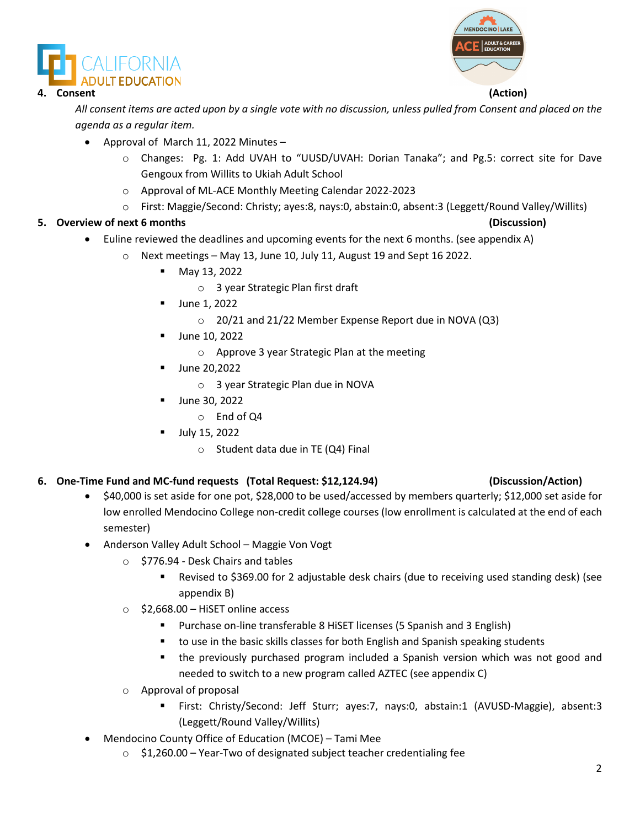



### **4. Consent (Action)**

*All consent items are acted upon by a single vote with no discussion, unless pulled from Consent and placed on the agenda as a regular item.* 

- Approval of March 11, 2022 Minutes
	- o Changes: Pg. 1: Add UVAH to "UUSD/UVAH: Dorian Tanaka"; and Pg.5: correct site for Dave Gengoux from Willits to Ukiah Adult School
	- o Approval of ML-ACE Monthly Meeting Calendar 2022-2023
	- o First: Maggie/Second: Christy; ayes:8, nays:0, abstain:0, absent:3 (Leggett/Round Valley/Willits)

## **5. Overview of next 6 months (Discussion)**

- Euline reviewed the deadlines and upcoming events for the next 6 months. (see appendix A)
	- $\circ$  Next meetings May 13, June 10, July 11, August 19 and Sept 16 2022.
		- May 13, 2022
			- o 3 year Strategic Plan first draft
		- June 1, 2022
			- o 20/21 and 21/22 Member Expense Report due in NOVA (Q3)
		- June 10, 2022
			- o Approve 3 year Strategic Plan at the meeting
		- June 20,2022
			- o 3 year Strategic Plan due in NOVA
		- June 30, 2022
			- o End of Q4
		- **July 15, 2022** 
			- $\circ$  Student data due in TE (Q4) Final

# **6. One-Time Fund and MC-fund requests (Total Request: \$12,124.94) (Discussion/Action)**

- \$40,000 is set aside for one pot, \$28,000 to be used/accessed by members quarterly; \$12,000 set aside for low enrolled Mendocino College non-credit college courses (low enrollment is calculated at the end of each semester)
- Anderson Valley Adult School Maggie Von Vogt
	- o \$776.94 Desk Chairs and tables
		- Revised to \$369.00 for 2 adjustable desk chairs (due to receiving used standing desk) (see appendix B)
	- $\circ$  \$2,668.00 HiSET online access
		- **Purchase on-line transferable 8 HiSET licenses (5 Spanish and 3 English)**
		- to use in the basic skills classes for both English and Spanish speaking students
		- the previously purchased program included a Spanish version which was not good and needed to switch to a new program called AZTEC (see appendix C)
	- o Approval of proposal
		- First: Christy/Second: Jeff Sturr; ayes:7, nays:0, abstain:1 (AVUSD-Maggie), absent:3 (Leggett/Round Valley/Willits)
- Mendocino County Office of Education (MCOE) Tami Mee
	- o \$1,260.00 Year-Two of designated subject teacher credentialing fee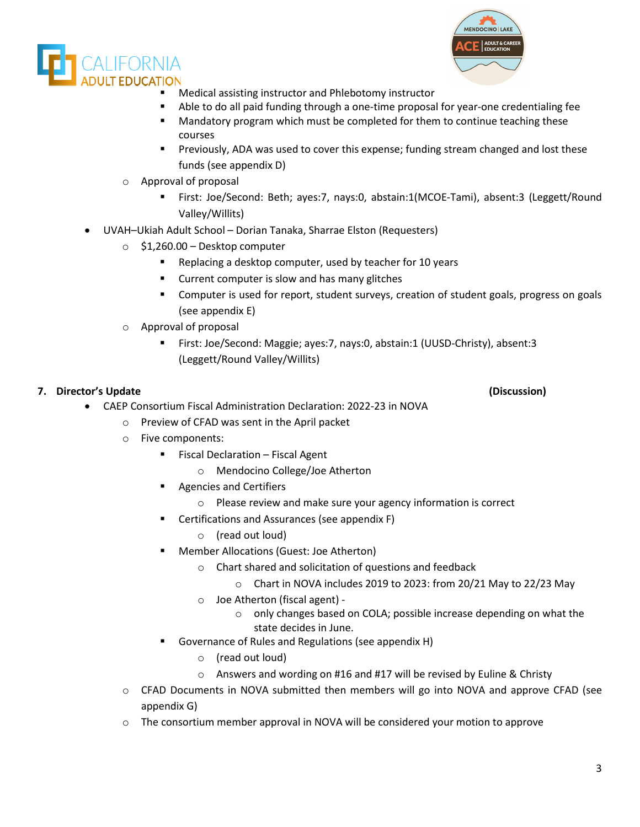



- Medical assisting instructor and Phlebotomy instructor
- Able to do all paid funding through a one-time proposal for year-one credentialing fee
- Mandatory program which must be completed for them to continue teaching these courses
- Previously, ADA was used to cover this expense; funding stream changed and lost these funds (see appendix D)
- Approval of proposal
	- First: Joe/Second: Beth; ayes:7, nays:0, abstain:1(MCOE-Tami), absent:3 (Leggett/Round Valley/Willits)
- UVAH–Ukiah Adult School Dorian Tanaka, Sharrae Elston (Requesters)
	- o \$1,260.00 Desktop computer
		- Replacing a desktop computer, used by teacher for 10 years
		- **EXECUTE:** Current computer is slow and has many glitches
		- Computer is used for report, student surveys, creation of student goals, progress on goals (see appendix E)
	- o Approval of proposal
		- First: Joe/Second: Maggie; ayes:7, nays:0, abstain:1 (UUSD-Christy), absent:3 (Leggett/Round Valley/Willits)

## **7. Director's Update (Discussion)**

- CAEP Consortium Fiscal Administration Declaration: 2022-23 in NOVA
	- o Preview of CFAD was sent in the April packet
	- o Five components:
		- **Fiscal Declaration Fiscal Agent** 
			- o Mendocino College/Joe Atherton
		- **Agencies and Certifiers** 
			- o Please review and make sure your agency information is correct
		- Certifications and Assurances (see appendix F)
			- o (read out loud)
		- Member Allocations (Guest: Joe Atherton)
			- o Chart shared and solicitation of questions and feedback
				- $\circ$  Chart in NOVA includes 2019 to 2023: from 20/21 May to 22/23 May
			- o Joe Atherton (fiscal agent)
				- o only changes based on COLA; possible increase depending on what the state decides in June.
		- Governance of Rules and Regulations (see appendix H)
			- o (read out loud)
			- o Answers and wording on #16 and #17 will be revised by Euline & Christy
	- o CFAD Documents in NOVA submitted then members will go into NOVA and approve CFAD (see appendix G)
	- o The consortium member approval in NOVA will be considered your motion to approve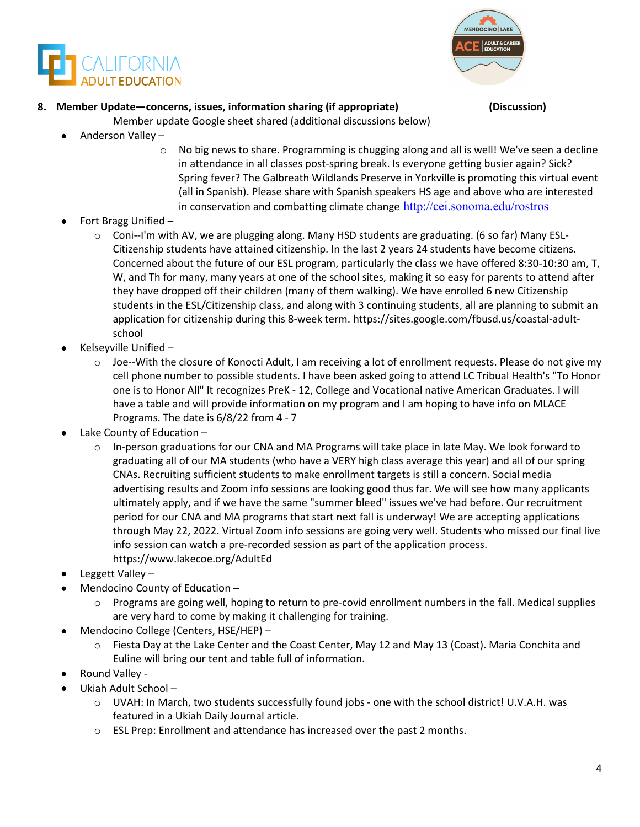



# **8. Member Update—concerns, issues, information sharing (if appropriate) (Discussion)**

- Member update Google sheet shared (additional discussions below)
- Anderson Valley
	- $\circ$  No big news to share. Programming is chugging along and all is well! We've seen a decline in attendance in all classes post-spring break. Is everyone getting busier again? Sick? Spring fever? The Galbreath Wildlands Preserve in Yorkville is promoting this virtual event (all in Spanish). Please share with Spanish speakers HS age and above who are interested in conservation and combatting climate change <http://cei.sonoma.edu/rostros>
- Fort Bragg Unified
	- o Coni--I'm with AV, we are plugging along. Many HSD students are graduating. (6 so far) Many ESL-Citizenship students have attained citizenship. In the last 2 years 24 students have become citizens. Concerned about the future of our ESL program, particularly the class we have offered 8:30-10:30 am, T, W, and Th for many, many years at one of the school sites, making it so easy for parents to attend after they have dropped off their children (many of them walking). We have enrolled 6 new Citizenship students in the ESL/Citizenship class, and along with 3 continuing students, all are planning to submit an application for citizenship during this 8-week term. https://sites.google.com/fbusd.us/coastal-adultschool
- Kelseyville Unified
	- o Joe--With the closure of Konocti Adult, I am receiving a lot of enrollment requests. Please do not give my cell phone number to possible students. I have been asked going to attend LC Tribual Health's "To Honor one is to Honor All" It recognizes PreK - 12, College and Vocational native American Graduates. I will have a table and will provide information on my program and I am hoping to have info on MLACE Programs. The date is 6/8/22 from 4 - 7
- Lake County of Education
	- $\circ$  In-person graduations for our CNA and MA Programs will take place in late May. We look forward to graduating all of our MA students (who have a VERY high class average this year) and all of our spring CNAs. Recruiting sufficient students to make enrollment targets is still a concern. Social media advertising results and Zoom info sessions are looking good thus far. We will see how many applicants ultimately apply, and if we have the same "summer bleed" issues we've had before. Our recruitment period for our CNA and MA programs that start next fall is underway! We are accepting applications through May 22, 2022. Virtual Zoom info sessions are going very well. Students who missed our final live info session can watch a pre-recorded session as part of the application process. https://www.lakecoe.org/AdultEd
- Leggett Valley –
- Mendocino County of Education
	- o Programs are going well, hoping to return to pre-covid enrollment numbers in the fall. Medical supplies are very hard to come by making it challenging for training.
- Mendocino College (Centers, HSE/HEP)
	- o Fiesta Day at the Lake Center and the Coast Center, May 12 and May 13 (Coast). Maria Conchita and Euline will bring our tent and table full of information.
- Round Valley -
- Ukiah Adult School
	- o UVAH: In March, two students successfully found jobs one with the school district! U.V.A.H. was featured in a Ukiah Daily Journal article.
	- $\circ$  ESL Prep: Enrollment and attendance has increased over the past 2 months.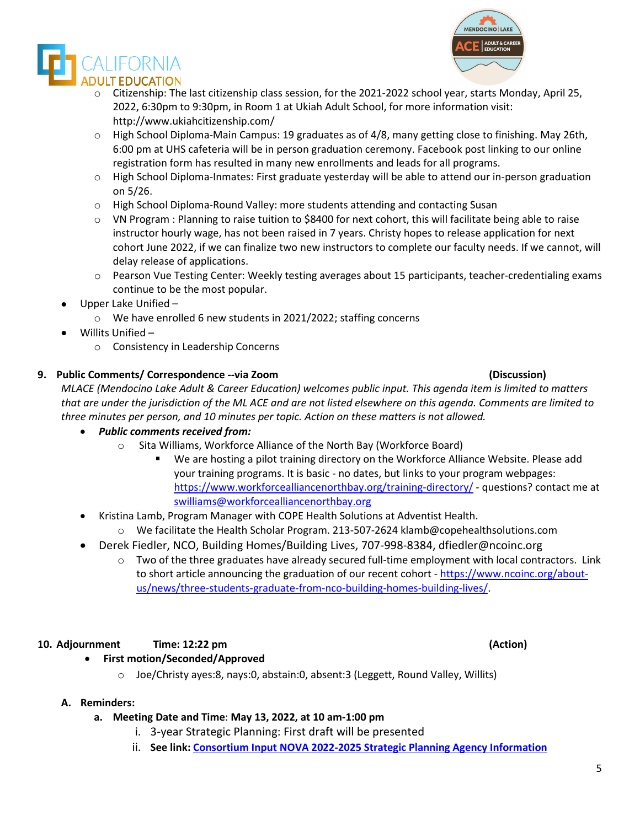o Citizenship: The last citizenship class session, for the 2021-2022 school year, starts Monday, April 25, 2022, 6:30pm to 9:30pm, in Room 1 at Ukiah Adult School, for more information visit: <http://www.ukiahcitizenship.com/>

 $\circ$  High School Diploma-Main Campus: 19 graduates as of 4/8, many getting close to finishing. May 26th, 6:00 pm at UHS cafeteria will be in person graduation ceremony. Facebook post linking to our online registration form has resulted in many new enrollments and leads for all programs.

- o High School Diploma-Inmates: First graduate yesterday will be able to attend our in-person graduation on 5/26.
- o High School Diploma-Round Valley: more students attending and contacting Susan
- o VN Program : Planning to raise tuition to \$8400 for next cohort, this will facilitate being able to raise instructor hourly wage, has not been raised in 7 years. Christy hopes to release application for next cohort June 2022, if we can finalize two new instructors to complete our faculty needs. If we cannot, will delay release of applications.
- o Pearson Vue Testing Center: Weekly testing averages about 15 participants, teacher-credentialing exams continue to be the most popular.
- Upper Lake Unified
	- o We have enrolled 6 new students in 2021/2022; staffing concerns
- Willits Unified
	- o Consistency in Leadership Concerns

### **9. Public Comments/ Correspondence --via Zoom (Discussion)**

*MLACE (Mendocino Lake Adult & Career Education) welcomes public input. This agenda item is limited to matters that are under the jurisdiction of the ML ACE and are not listed elsewhere on this agenda. Comments are limited to three minutes per person, and 10 minutes per topic. Action on these matters is not allowed.*

- *Public comments received from:* 
	- o Sita Williams, Workforce Alliance of the North Bay (Workforce Board)<br>■ We are hosting a pilot training directory on the Workforce Allia
		- We are hosting a pilot training directory on the Workforce Alliance Website. Please add your training programs. It is basic - no dates, but links to your program webpages: <https://www.workforcealliancenorthbay.org/training-directory/>- questions? contact me at [swilliams@workforcealliancenorthbay.org](mailto:swilliams@workforcealliancenorthbay.org)
- Kristina Lamb, Program Manager with COPE Health Solutions at Adventist Health.
	- o We facilitate the Health Scholar Program. 213-507-2624 klamb@copehealthsolutions.com
- Derek Fiedler, NCO, Building Homes/Building Lives, 707-998-8384, dfiedler@ncoinc.org
	- Two of the three graduates have already secured full-time employment with local contractors. Link to short article announcing the graduation of our recent cohort - [https://www.ncoinc.org/about](https://www.ncoinc.org/about-us/news/three-students-graduate-from-nco-building-homes-building-lives/)[us/news/three-students-graduate-from-nco-building-homes-building-lives/.](https://www.ncoinc.org/about-us/news/three-students-graduate-from-nco-building-homes-building-lives/)

## **10. Adjournment Time: 12:22 pm (Action)**

- **First motion/Seconded/Approved** 
	- o Joe/Christy ayes:8, nays:0, abstain:0, absent:3 (Leggett, Round Valley, Willits)

## **A. Reminders:**

## **a. Meeting Date and Time**: **May 13, 2022, at 10 am-1:00 pm**

- i. 3-year Strategic Planning: First draft will be presented
- ii. **See link: [Consortium Input NOVA 2022-2025 Strategic Planning Agency Information](https://docs.google.com/spreadsheets/d/1AJM-lxW_nu4X09NjZHai-COv3TcNLHkcqeVGl-ex55U/edit%23gid=0)**

MENDOCINO LAKE ADULT & CAREER